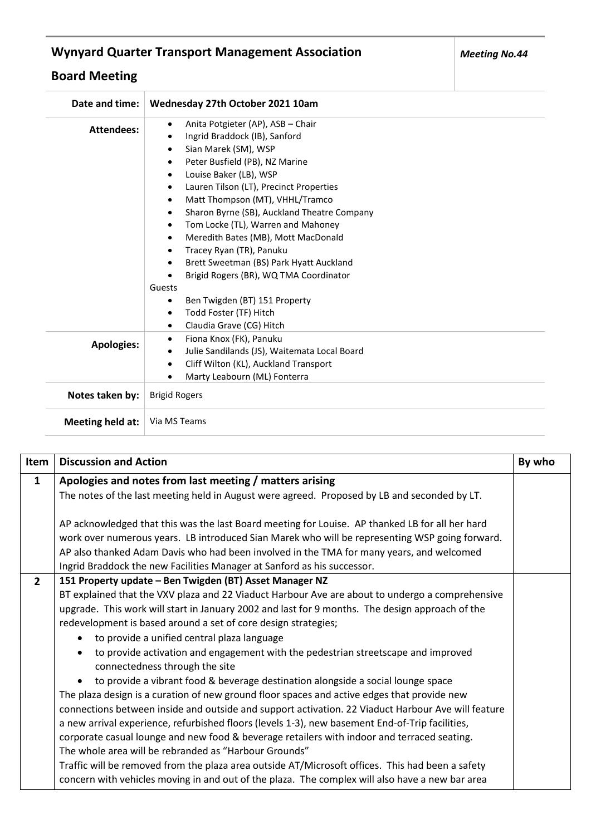## **Wynyard Quarter Transport Management Association**

## **Board Meeting**

| Date and time:    | Wednesday 27th October 2021 10am                                                                                                                                                                                                                                                                                                                                                                                                                                                                                                                                                                                |
|-------------------|-----------------------------------------------------------------------------------------------------------------------------------------------------------------------------------------------------------------------------------------------------------------------------------------------------------------------------------------------------------------------------------------------------------------------------------------------------------------------------------------------------------------------------------------------------------------------------------------------------------------|
| <b>Attendees:</b> | Anita Potgieter (AP), ASB - Chair<br>$\bullet$<br>Ingrid Braddock (IB), Sanford<br>Sian Marek (SM), WSP<br>$\bullet$<br>Peter Busfield (PB), NZ Marine<br>Louise Baker (LB), WSP<br>$\bullet$<br>Lauren Tilson (LT), Precinct Properties<br>٠<br>Matt Thompson (MT), VHHL/Tramco<br>$\bullet$<br>Sharon Byrne (SB), Auckland Theatre Company<br>Tom Locke (TL), Warren and Mahoney<br>Meredith Bates (MB), Mott MacDonald<br>$\bullet$<br>Tracey Ryan (TR), Panuku<br>Brett Sweetman (BS) Park Hyatt Auckland<br>Brigid Rogers (BR), WQ TMA Coordinator<br>Guests<br>Ben Twigden (BT) 151 Property<br>$\bullet$ |
|                   | Todd Foster (TF) Hitch<br>$\bullet$<br>Claudia Grave (CG) Hitch                                                                                                                                                                                                                                                                                                                                                                                                                                                                                                                                                 |
| <b>Apologies:</b> | Fiona Knox (FK), Panuku<br>٠<br>Julie Sandilands (JS), Waitemata Local Board<br>٠<br>Cliff Wilton (KL), Auckland Transport<br>$\bullet$<br>Marty Leabourn (ML) Fonterra                                                                                                                                                                                                                                                                                                                                                                                                                                         |
| Notes taken by:   | <b>Brigid Rogers</b>                                                                                                                                                                                                                                                                                                                                                                                                                                                                                                                                                                                            |
| Meeting held at:  | Via MS Teams                                                                                                                                                                                                                                                                                                                                                                                                                                                                                                                                                                                                    |

| Item           | <b>Discussion and Action</b>                                                                                                                                                                                                                                                                                                                                                                                                                                                                                                                                                                                                                                                                                                                                                                                                                                                                                                                                                                                                                                                                                                                                                                                                                                                               | By who |
|----------------|--------------------------------------------------------------------------------------------------------------------------------------------------------------------------------------------------------------------------------------------------------------------------------------------------------------------------------------------------------------------------------------------------------------------------------------------------------------------------------------------------------------------------------------------------------------------------------------------------------------------------------------------------------------------------------------------------------------------------------------------------------------------------------------------------------------------------------------------------------------------------------------------------------------------------------------------------------------------------------------------------------------------------------------------------------------------------------------------------------------------------------------------------------------------------------------------------------------------------------------------------------------------------------------------|--------|
| $\mathbf{1}$   | Apologies and notes from last meeting / matters arising<br>The notes of the last meeting held in August were agreed. Proposed by LB and seconded by LT.<br>AP acknowledged that this was the last Board meeting for Louise. AP thanked LB for all her hard<br>work over numerous years. LB introduced Sian Marek who will be representing WSP going forward.<br>AP also thanked Adam Davis who had been involved in the TMA for many years, and welcomed                                                                                                                                                                                                                                                                                                                                                                                                                                                                                                                                                                                                                                                                                                                                                                                                                                   |        |
|                | Ingrid Braddock the new Facilities Manager at Sanford as his successor.                                                                                                                                                                                                                                                                                                                                                                                                                                                                                                                                                                                                                                                                                                                                                                                                                                                                                                                                                                                                                                                                                                                                                                                                                    |        |
| $\overline{2}$ | 151 Property update - Ben Twigden (BT) Asset Manager NZ<br>BT explained that the VXV plaza and 22 Viaduct Harbour Ave are about to undergo a comprehensive<br>upgrade. This work will start in January 2002 and last for 9 months. The design approach of the<br>redevelopment is based around a set of core design strategies;<br>to provide a unified central plaza language<br>$\bullet$<br>to provide activation and engagement with the pedestrian streetscape and improved<br>$\bullet$<br>connectedness through the site<br>to provide a vibrant food & beverage destination alongside a social lounge space<br>The plaza design is a curation of new ground floor spaces and active edges that provide new<br>connections between inside and outside and support activation. 22 Viaduct Harbour Ave will feature<br>a new arrival experience, refurbished floors (levels 1-3), new basement End-of-Trip facilities,<br>corporate casual lounge and new food & beverage retailers with indoor and terraced seating.<br>The whole area will be rebranded as "Harbour Grounds"<br>Traffic will be removed from the plaza area outside AT/Microsoft offices. This had been a safety<br>concern with vehicles moving in and out of the plaza. The complex will also have a new bar area |        |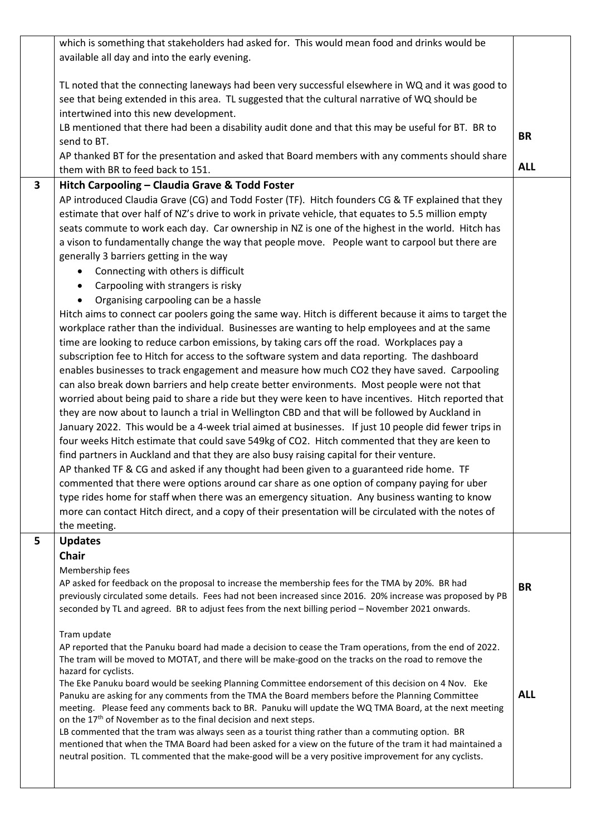|              | which is something that stakeholders had asked for. This would mean food and drinks would be                                                                                                              |            |
|--------------|-----------------------------------------------------------------------------------------------------------------------------------------------------------------------------------------------------------|------------|
|              | available all day and into the early evening.                                                                                                                                                             |            |
|              |                                                                                                                                                                                                           |            |
|              | TL noted that the connecting laneways had been very successful elsewhere in WQ and it was good to                                                                                                         |            |
|              | see that being extended in this area. TL suggested that the cultural narrative of WQ should be                                                                                                            |            |
|              | intertwined into this new development.                                                                                                                                                                    |            |
|              | LB mentioned that there had been a disability audit done and that this may be useful for BT. BR to<br>send to BT.                                                                                         | <b>BR</b>  |
|              | AP thanked BT for the presentation and asked that Board members with any comments should share                                                                                                            |            |
|              | them with BR to feed back to 151.                                                                                                                                                                         | <b>ALL</b> |
| $\mathbf{3}$ | Hitch Carpooling - Claudia Grave & Todd Foster                                                                                                                                                            |            |
|              | AP introduced Claudia Grave (CG) and Todd Foster (TF). Hitch founders CG & TF explained that they                                                                                                         |            |
|              | estimate that over half of NZ's drive to work in private vehicle, that equates to 5.5 million empty                                                                                                       |            |
|              | seats commute to work each day. Car ownership in NZ is one of the highest in the world. Hitch has                                                                                                         |            |
|              | a vison to fundamentally change the way that people move. People want to carpool but there are                                                                                                            |            |
|              | generally 3 barriers getting in the way                                                                                                                                                                   |            |
|              | Connecting with others is difficult<br>٠                                                                                                                                                                  |            |
|              | Carpooling with strangers is risky<br>$\bullet$                                                                                                                                                           |            |
|              | Organising carpooling can be a hassle<br>$\bullet$                                                                                                                                                        |            |
|              | Hitch aims to connect car poolers going the same way. Hitch is different because it aims to target the                                                                                                    |            |
|              | workplace rather than the individual. Businesses are wanting to help employees and at the same                                                                                                            |            |
|              | time are looking to reduce carbon emissions, by taking cars off the road. Workplaces pay a                                                                                                                |            |
|              | subscription fee to Hitch for access to the software system and data reporting. The dashboard                                                                                                             |            |
|              | enables businesses to track engagement and measure how much CO2 they have saved. Carpooling                                                                                                               |            |
|              | can also break down barriers and help create better environments. Most people were not that                                                                                                               |            |
|              | worried about being paid to share a ride but they were keen to have incentives. Hitch reported that                                                                                                       |            |
|              | they are now about to launch a trial in Wellington CBD and that will be followed by Auckland in                                                                                                           |            |
|              | January 2022. This would be a 4-week trial aimed at businesses. If just 10 people did fewer trips in                                                                                                      |            |
|              | four weeks Hitch estimate that could save 549kg of CO2. Hitch commented that they are keen to                                                                                                             |            |
|              | find partners in Auckland and that they are also busy raising capital for their venture.                                                                                                                  |            |
|              | AP thanked TF & CG and asked if any thought had been given to a guaranteed ride home. TF<br>commented that there were options around car share as one option of company paying for uber                   |            |
|              | type rides home for staff when there was an emergency situation. Any business wanting to know                                                                                                             |            |
|              | more can contact Hitch direct, and a copy of their presentation will be circulated with the notes of                                                                                                      |            |
|              | the meeting.                                                                                                                                                                                              |            |
| 5            | <b>Updates</b>                                                                                                                                                                                            |            |
|              | <b>Chair</b>                                                                                                                                                                                              |            |
|              | Membership fees                                                                                                                                                                                           |            |
|              | AP asked for feedback on the proposal to increase the membership fees for the TMA by 20%. BR had                                                                                                          | BR         |
|              | previously circulated some details. Fees had not been increased since 2016. 20% increase was proposed by PB                                                                                               |            |
|              | seconded by TL and agreed. BR to adjust fees from the next billing period - November 2021 onwards.                                                                                                        |            |
|              | Tram update                                                                                                                                                                                               |            |
|              | AP reported that the Panuku board had made a decision to cease the Tram operations, from the end of 2022.                                                                                                 |            |
|              | The tram will be moved to MOTAT, and there will be make-good on the tracks on the road to remove the                                                                                                      |            |
|              | hazard for cyclists.                                                                                                                                                                                      |            |
|              | The Eke Panuku board would be seeking Planning Committee endorsement of this decision on 4 Nov. Eke                                                                                                       | <b>ALL</b> |
|              | Panuku are asking for any comments from the TMA the Board members before the Planning Committee<br>meeting. Please feed any comments back to BR. Panuku will update the WQ TMA Board, at the next meeting |            |
|              | on the 17 <sup>th</sup> of November as to the final decision and next steps.                                                                                                                              |            |
|              | LB commented that the tram was always seen as a tourist thing rather than a commuting option. BR                                                                                                          |            |
|              | mentioned that when the TMA Board had been asked for a view on the future of the tram it had maintained a                                                                                                 |            |
|              | neutral position. TL commented that the make-good will be a very positive improvement for any cyclists.                                                                                                   |            |
|              |                                                                                                                                                                                                           |            |